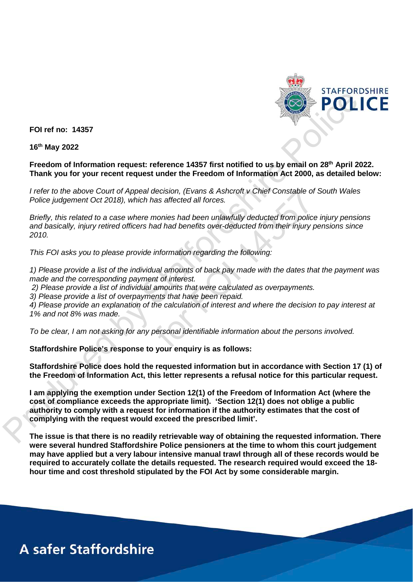

**FOI ref no: 14357** 

**16th May 2022** 

## **Freedom of Information request: reference 14357 first notified to us by email on 28th April 2022. Thank you for your recent request under the Freedom of Information Act 2000, as detailed below:**

*I refer to the above Court of Appeal decision, (Evans & Ashcroft v Chief Constable of South Wales Police judgement Oct 2018), which has affected all forces.*

*Briefly, this related to a case where monies had been unlawfully deducted from police injury pensions and basically, injury retired officers had had benefits over-deducted from their injury pensions since 2010.*

*This FOI asks you to please provide information regarding the following:*

*1) Please provide a list of the individual amounts of back pay made with the dates that the payment was made and the corresponding payment of interest.*

*2) Please provide a list of individual amounts that were calculated as overpayments.*

*3) Please provide a list of overpayments that have been repaid.*

*4) Please provide an explanation of the calculation of interest and where the decision to pay interest at 1% and not 8% was made.*

*To be clear, I am not asking for any personal identifiable information about the persons involved.*

**Staffordshire Police's response to your enquiry is as follows:**

**Staffordshire Police does hold the requested information but in accordance with Section 17 (1) of the Freedom of Information Act, this letter represents a refusal notice for this particular request.**

**I am applying the exemption under Section 12(1) of the Freedom of Information Act (where the cost of compliance exceeds the appropriate limit). 'Section 12(1) does not oblige a public authority to comply with a request for information if the authority estimates that the cost of complying with the request would exceed the prescribed limit'.** POLITE<br>
FOI ref no: 14357<br>
16<sup>th</sup> May 2022<br>
Freedom of Information request: reference 14357 first notified to us by email on 28<sup>th</sup> April 2022<br>
Thank you for your recent request under the Freedom of Information Act 2000, a the above Court of Appeal decision, (Evans & Ashcrott v Chief Constable of<br>the above Court of Appeal decision, (Evans & Ashcrott v Chief Constable of<br>this related to a case where monies had been unlewfully deducted from po

**The issue is that there is no readily retrievable way of obtaining the requested information. There were several hundred Staffordshire Police pensioners at the time to whom this court judgement may have applied but a very labour intensive manual trawl through all of these records would be required to accurately collate the details requested. The research required would exceed the 18 hour time and cost threshold stipulated by the FOI Act by some considerable margin.**

## **A safer Staffordshire**